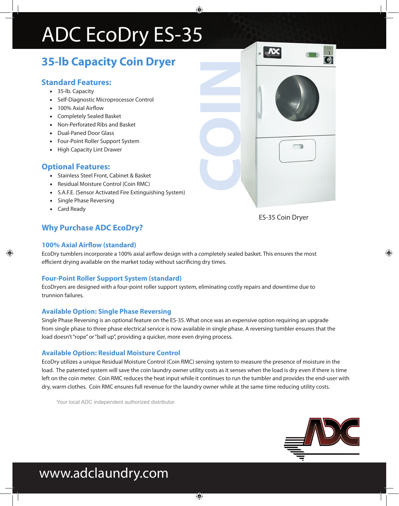# ADC EcoDry ES-35

# **35-lb Capacity Coin Dryer**

### **Standard Features:**

- 35-lb. Capacity
- Self-Diagnostic Microprocessor Control
- 100% Axial Airflow
- • Completely Sealed Basket
- • Non-Perforated Ribs and Basket
- • Dual-Paned Door Glass
- Four-Point Roller Support System
- • High Capacity Lint Drawer

### **Optional Features:**

- • Stainless Steel Front, Cabinet & Basket
- • Residual Moisture Control (Coin RMC)
- • S.A.F.E. (Sensor Activated Fire Extinguishing System)
- • Single Phase Reversing
- • Card Ready

## **Why Purchase ADC EcoDry?**

#### **100% Axial Airflow (standard)**

EcoDry tumblers incorporate a 100% axial airflow design with a completely sealed basket. This ensures the most efficient drying available on the market today without sacrificing dry times.

#### **Four-Point Roller Support System (standard)**

EcoDryers are designed with a four-point roller support system, eliminating costly repairs and downtime due to trunnion failures.

#### **Available Option: Single Phase Reversing**

Single Phase Reversing is an optional feature on the ES-35. What once was an expensive option requiring an upgrade from single phase to three phase electrical service is now available in single phase. A reversing tumbler ensures that the load doesn't "rope" or "ball up", providing a quicker, more even drying process.

#### **Available Option: Residual Moisture Control**

EcoDry utilizes a unique Residual Moisture Control (Coin RMC) sensing system to measure the presence of moisture in the load. The patented system will save the coin laundry owner utility costs as it senses when the load is dry even if there is time left on the coin meter. Coin RMC reduces the heat input while it continues to run the tumbler and provides the end-user with dry, warm clothes. Coin RMC ensures full revenue for the laundry owner while at the same time reducing utility costs.

Your local ADC independent authorized distributor



# www.adclaundry.com

**COIN**

ES-35 Coin Dryer